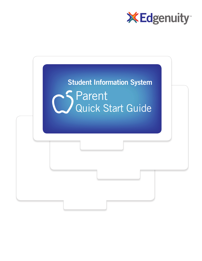

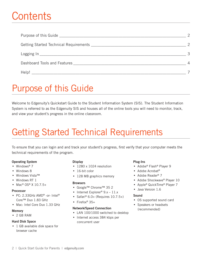# Contents

| Help! |  |
|-------|--|

# **Purpose of this Guide**

Welcome to Edgenuity's Quickstart Guide to the Student Information System (SIS). The Student Information System is referred to as the Edgenuity SIS and houses all of the online tools you will need to monitor, track, and view your student's progress in the online classroom.

# **Getting Started Technical Requirements**

To ensure that you can login and and track your student's progress, first verify that your computer meets the technical requirements of the program.

### **Operating System**

- Windows<sup>®</sup>  $7$
- Windows 8
- Windows VistaTM
- Windows RT 1
- Mac® OS® X  $10.7.5+$

### **Processor**

- PC: 2.33GHz AMD® -or- Intel® Core™ Duo 1.83 GHz
- Mac: Intel Core Duo 1.33 GHz

### **Memory**

 $\bullet$  2 GB RAM

### **Hard Disk Space**

• 1 GB available disk space for browser cache

### **Display**

- 1280 x 1024 resolution
- $\cdot$  16-bit color
- 128 MB graphics memory

### **Browsers**

- Google™ Chrome™ 35 2
- Internet Explorer<sup>®</sup>  $9.x 11.x$
- Safari® 6.0+ (Requires  $10.7.5+$ )
- Firefox<sup>®</sup>  $35+$

### **Network/Speed Connection**

- LAN 100/1000 switched to desktop
- Internet access 384 kbps per concurrent user

### **Plug-Ins**

- Adobe® Flash® Player 9
- Adobe Acrobat<sup>®</sup>
- Adobe Reader® 7
- Adobe Shockwave® Player 10
- Apple® QuickTime® Player 7
- Java Version 1.6

### Sound

- OS supported sound card
- Speakers or headsets (recommended)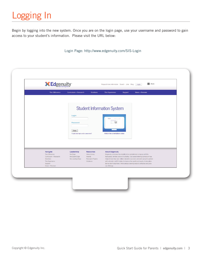Begin by logging into the new system. Once you are on the login page, use your username and password to gain access to your student's information. Please visit the URL below:

Login Page: http://www.edgenuity.com/SIS-Login

| <b>X</b> Edgenuity                                   |                                             |                                          | Request more information Search Jobs Blog                               |                                                                                                                                                                                                                                         | Share<br>Login |
|------------------------------------------------------|---------------------------------------------|------------------------------------------|-------------------------------------------------------------------------|-----------------------------------------------------------------------------------------------------------------------------------------------------------------------------------------------------------------------------------------|----------------|
| The Difference                                       | Curriculum + Research                       | Solutions                                | The Experience                                                          | Support                                                                                                                                                                                                                                 | News + Reviews |
|                                                      |                                             |                                          |                                                                         |                                                                                                                                                                                                                                         |                |
|                                                      |                                             |                                          | <b>Student Information System</b>                                       |                                                                                                                                                                                                                                         |                |
|                                                      | Login:                                      |                                          |                                                                         |                                                                                                                                                                                                                                         |                |
|                                                      | Password                                    |                                          | $\qquad \qquad \qquad \qquad \qquad \qquad \qquad \qquad \qquad \qquad$ |                                                                                                                                                                                                                                         |                |
|                                                      | Enter<br>Forgot your login and/or password? |                                          | Watch the orientation video                                             |                                                                                                                                                                                                                                         |                |
|                                                      |                                             |                                          |                                                                         |                                                                                                                                                                                                                                         |                |
|                                                      |                                             |                                          |                                                                         |                                                                                                                                                                                                                                         |                |
| Navigate<br>The Difference                           | Leadership<br>the Edge                      | <b>Resources</b><br><b>Video Library</b> | <b>About Edgenuity</b>                                                  | Edgenuity combines the stability of an established company with the                                                                                                                                                                     |                |
| Curriculum + Research<br>Solutions<br>The Experience | the Expert Edge<br>the Leading Edge         | Awards<br>Research Papers<br>Webinars    |                                                                         | fast-paced, nimble culture of a startup. Our award-winning curriculum has<br>helped more than one million students succeed, and we're proud to partner<br>with schools in all 50 states to improve the quality and equity of education. |                |
| Support<br>News + Reviews                            |                                             |                                          | our offerings.                                                          | But we don't stop there. We're always seeking ways to enhance and grow                                                                                                                                                                  |                |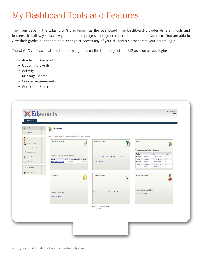# My Dashboard Tools and Features

The main page in the Edgenuity SIS is known as the Dashboard. The Dashboard provides different tools and features that allow you to view your student's progress and grade reports in the online classroom. You are able to view their grades but cannot edit, change or access any of your student's classes from your parent login.

The *Main Dashboard* features the following tools on the front page of the SIS as soon as you login:

- Academic Snapshot
- Upcoming Events
- Activity
- Message Center
- Course Requirements
- Admission Status

| Dashboard                       | <b>DASHBOARD</b>                                                                  |                                                           |                                                   |                              |                                  |
|---------------------------------|-----------------------------------------------------------------------------------|-----------------------------------------------------------|---------------------------------------------------|------------------------------|----------------------------------|
| Messages                        |                                                                                   |                                                           |                                                   |                              |                                  |
|                                 | Here you can see an overview of the current student status and academic progress. |                                                           |                                                   |                              |                                  |
| ٤<br>Mentor Information         | <b>Academic Snapshot</b>                                                          | <b>Upcoming Events</b>                                    | <b>Activity</b>                                   |                              |                                  |
| å,<br>Course Information        | $\overrightarrow{P}$                                                              | ï                                                         |                                                   |                              | J)                               |
| Academic Snapshot               |                                                                                   |                                                           |                                                   |                              |                                  |
| Suggested Pacing                |                                                                                   |                                                           | These are the latest activities for this student: |                              |                                  |
| Student Activity                | This student is currently enrolled in 1 course:                                   | Jun 21, 2013 - Major Update Planned for June 22 - 23      | Section<br>Financial Math A - MA2007A             | Time<br>6/11/2013 1:37:59 PM | <b>Minutes</b><br>$\overline{1}$ |
|                                 | Grade Percentage Complete Pacing<br>Course                                        |                                                           | Financial Math A - MA2007A                        | 6/11/2013 1:22:50 PM         | $10\,$                           |
| View Transcript<br>$\mathbb{R}$ | Financial Math A - MA2007A 41.81% 3.39%<br>Behind                                 | See more events                                           | Financial Math A - MA2007A                        | 6/10/2013 2:40:29 PM         | $\overline{1}$                   |
|                                 |                                                                                   |                                                           | Financial Math A - MA2007A                        | 6/10/2013 2:17:28 PM         | 23                               |
| Construction Calendar           |                                                                                   |                                                           | Financial Math A - MA2007A                        | 6/10/2013 2:06:04 PM         | $11\,$                           |
| $\bigcirc$ External Links       |                                                                                   |                                                           |                                                   |                              |                                  |
|                                 | <b>Messages</b>                                                                   | <b>Course Requests</b><br>$\mathbb{Z}^n$                  | <b>Admission Status</b>                           |                              |                                  |
|                                 |                                                                                   | V                                                         |                                                   |                              |                                  |
|                                 |                                                                                   |                                                           |                                                   |                              |                                  |
|                                 |                                                                                   |                                                           |                                                   |                              |                                  |
|                                 |                                                                                   |                                                           | This student is currently ACTIVE.                 |                              |                                  |
|                                 | You have 1 new message(s).                                                        | There are no courses requested by this student.           | The enrollment status is -1.                      |                              |                                  |
|                                 | See your message                                                                  |                                                           |                                                   |                              |                                  |
|                                 |                                                                                   |                                                           |                                                   |                              |                                  |
|                                 |                                                                                   |                                                           |                                                   |                              |                                  |
|                                 |                                                                                   | Genius SIS (c) - All rights reserved<br><b>Genius SIS</b> |                                                   |                              |                                  |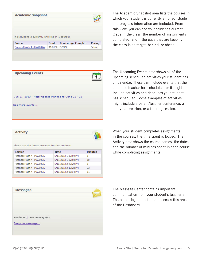| This student is currently enrolled in 1 course: |       |                            |        |
|-------------------------------------------------|-------|----------------------------|--------|
| Course                                          | Grade | <b>Percentage Complete</b> | Pacing |

The Academic Snapshot area lists the courses in which your student is currently enrolled. Grade and progress information are included. From this view, you can see your student's current grade in the class, the number of assignments completed, and if the pace they are keeping in the class is on target, behind, or ahead.

| <b>Upcoming Events</b>                               |  |
|------------------------------------------------------|--|
| Jun 21, 2013 - Major Update Planned for June 22 - 23 |  |
| See more events                                      |  |

The Upcoming Events area shows all of the upcoming scheduled activities your student has on calendar. These can include events that the student's teacher has scheduled, or it might include activities and deadlines your student has scheduled. Some examples of activities might include a parent/teacher conference, a study-hall session, or a tutoring session.

| <b>Activity</b>                                   |                      |                |
|---------------------------------------------------|----------------------|----------------|
| These are the latest activities for this student: |                      |                |
| <b>Section</b>                                    | <b>Time</b>          | <b>Minutes</b> |
| Financial Math A - MA2007A                        | 6/11/2013 1:37:59 PM | 1              |
| Financial Math A - MA2007A                        | 6/11/2013 1:22:50 PM | 10             |
| Financial Math A - MA2007A                        | 6/10/2013 2:40:29 PM | 1              |
|                                                   | 6/10/2013 2:17:28 PM | 23             |
| Financial Math A - MA2007A                        |                      |                |

When your student completes assignments in the courses, the time spent is logged. The Activity area shows the course names, the dates, and the number of minutes spent in each course while completing assignments.

| <b>Messages</b>            |  |
|----------------------------|--|
|                            |  |
|                            |  |
| You have 1 new message(s). |  |
| See your message           |  |

The Message Center contains important communication from your student's teacher(s). The parent login is not able to access this area of the Dashboard.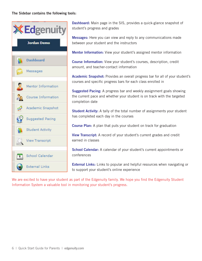### The Sidebar contains the following tools:



Dashboard: Main page in the SIS, provides a quick-glance snapshot of student's progress and grades

Messages: Here you can view and reply to any communications made between your student and the instructors

Mentor Information: View your student's assigned mentor information

Course Information: View your student's courses, description, credit amount, and teacher-contact information

Academic Snapshot: Provides an overall progress bar for all of your student's courses and specific progress bars for each class enrolled in

**Suggested Pacing:** A progress bar and weekly assignment goals showing the current pace and whether your student is on track with the targeted completion date

Student Activity: A tally of the total number of assignments your student has completed each day in the courses

**Course Plan:** A plan that puts your student on track for graduation

View Transcript: A record of your student's current grades and credit earned in classes

School Calendar: A calendar of your student's current appointments or conferences

**External Links:** Links to popular and helpful resources when navigating or to support your student's online experience

We are excited to have your student as part of the Edgenuity family. We hope you find the Edgenuity Student Information System a valuable tool in monitoring your student's progress.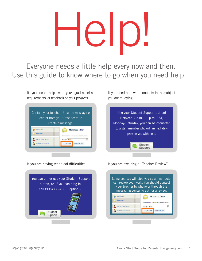# Help!

Everyone needs a little help every now and then. Use this guide to know where to go when you need help.

If you need help with your grades, class requirements, or feedback on your progress...



If you need help with concepts in the subject you are studying ...



If you are having technical difficulties ...



If you are awaiting a "Teacher Review"...